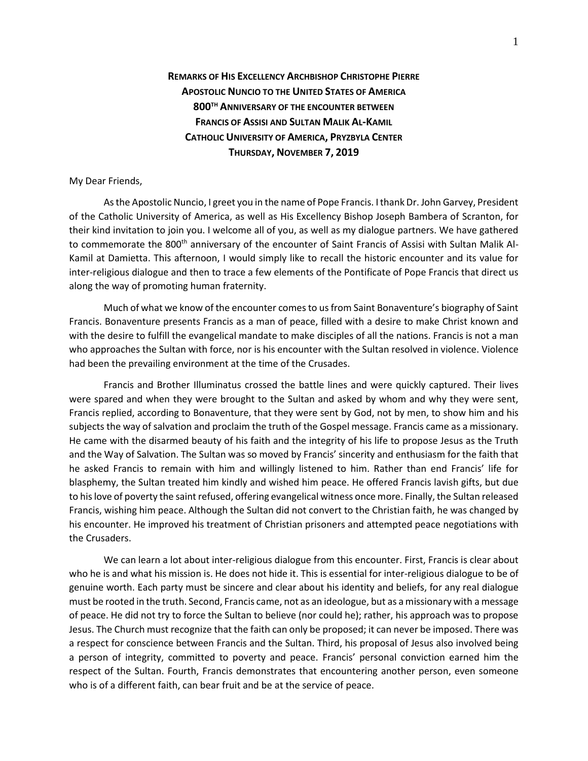## **REMARKS OF HIS EXCELLENCY ARCHBISHOP CHRISTOPHE PIERRE APOSTOLIC NUNCIO TO THE UNITED STATES OF AMERICA 800TH ANNIVERSARY OF THE ENCOUNTER BETWEEN FRANCIS OF ASSISI AND SULTAN MALIK AL-KAMIL CATHOLIC UNIVERSITY OF AMERICA, PRYZBYLA CENTER THURSDAY, NOVEMBER 7, 2019**

## My Dear Friends,

As the Apostolic Nuncio, I greet you in the name of Pope Francis. I thank Dr. John Garvey, President of the Catholic University of America, as well as His Excellency Bishop Joseph Bambera of Scranton, for their kind invitation to join you. I welcome all of you, as well as my dialogue partners. We have gathered to commemorate the 800<sup>th</sup> anniversary of the encounter of Saint Francis of Assisi with Sultan Malik Al-Kamil at Damietta. This afternoon, I would simply like to recall the historic encounter and its value for inter-religious dialogue and then to trace a few elements of the Pontificate of Pope Francis that direct us along the way of promoting human fraternity.

Much of what we know of the encounter comes to us from Saint Bonaventure's biography of Saint Francis. Bonaventure presents Francis as a man of peace, filled with a desire to make Christ known and with the desire to fulfill the evangelical mandate to make disciples of all the nations. Francis is not a man who approaches the Sultan with force, nor is his encounter with the Sultan resolved in violence. Violence had been the prevailing environment at the time of the Crusades.

Francis and Brother Illuminatus crossed the battle lines and were quickly captured. Their lives were spared and when they were brought to the Sultan and asked by whom and why they were sent, Francis replied, according to Bonaventure, that they were sent by God, not by men, to show him and his subjects the way of salvation and proclaim the truth of the Gospel message. Francis came as a missionary. He came with the disarmed beauty of his faith and the integrity of his life to propose Jesus as the Truth and the Way of Salvation. The Sultan was so moved by Francis' sincerity and enthusiasm for the faith that he asked Francis to remain with him and willingly listened to him. Rather than end Francis' life for blasphemy, the Sultan treated him kindly and wished him peace. He offered Francis lavish gifts, but due to his love of poverty the saint refused, offering evangelical witness once more. Finally, the Sultan released Francis, wishing him peace. Although the Sultan did not convert to the Christian faith, he was changed by his encounter. He improved his treatment of Christian prisoners and attempted peace negotiations with the Crusaders.

We can learn a lot about inter-religious dialogue from this encounter. First, Francis is clear about who he is and what his mission is. He does not hide it. This is essential for inter-religious dialogue to be of genuine worth. Each party must be sincere and clear about his identity and beliefs, for any real dialogue must be rooted in the truth. Second, Francis came, not as an ideologue, but as a missionary with a message of peace. He did not try to force the Sultan to believe (nor could he); rather, his approach was to propose Jesus. The Church must recognize that the faith can only be proposed; it can never be imposed. There was a respect for conscience between Francis and the Sultan. Third, his proposal of Jesus also involved being a person of integrity, committed to poverty and peace. Francis' personal conviction earned him the respect of the Sultan. Fourth, Francis demonstrates that encountering another person, even someone who is of a different faith, can bear fruit and be at the service of peace.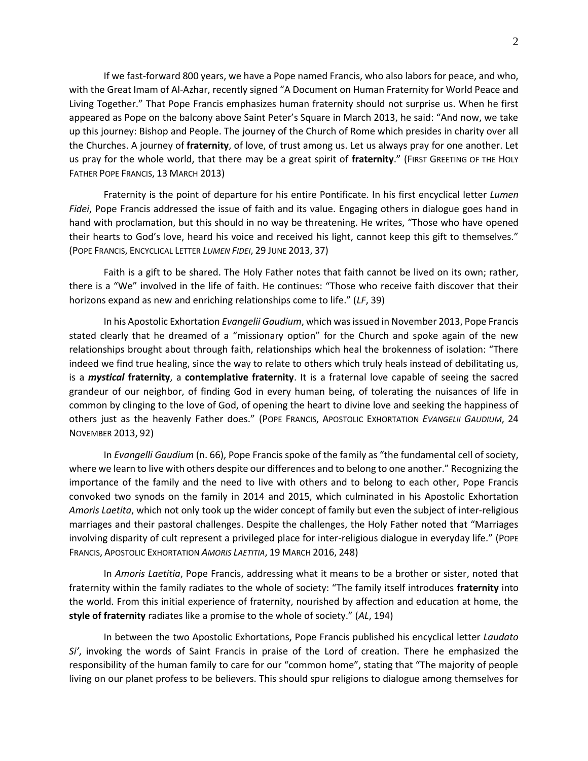If we fast-forward 800 years, we have a Pope named Francis, who also labors for peace, and who, with the Great Imam of Al-Azhar, recently signed "A Document on Human Fraternity for World Peace and Living Together." That Pope Francis emphasizes human fraternity should not surprise us. When he first appeared as Pope on the balcony above Saint Peter's Square in March 2013, he said: "And now, we take up this journey: Bishop and People. The journey of the Church of Rome which presides in charity over all the Churches. A journey of **fraternity**, of love, of trust among us. Let us always pray for one another. Let us pray for the whole world, that there may be a great spirit of **fraternity**." (FIRST GREETING OF THE HOLY FATHER POPE FRANCIS, 13 MARCH 2013)

Fraternity is the point of departure for his entire Pontificate. In his first encyclical letter *Lumen Fidei*, Pope Francis addressed the issue of faith and its value. Engaging others in dialogue goes hand in hand with proclamation, but this should in no way be threatening. He writes, "Those who have opened their hearts to God's love, heard his voice and received his light, cannot keep this gift to themselves." (POPE FRANCIS, ENCYCLICAL LETTER *LUMEN FIDEI*, 29 JUNE 2013, 37)

Faith is a gift to be shared. The Holy Father notes that faith cannot be lived on its own; rather, there is a "We" involved in the life of faith. He continues: "Those who receive faith discover that their horizons expand as new and enriching relationships come to life." (*LF*, 39)

In his Apostolic Exhortation *Evangelii Gaudium*, which was issued in November 2013, Pope Francis stated clearly that he dreamed of a "missionary option" for the Church and spoke again of the new relationships brought about through faith, relationships which heal the brokenness of isolation: "There indeed we find true healing, since the way to relate to others which truly heals instead of debilitating us, is a *mystical* **fraternity**, a **contemplative fraternity**. It is a fraternal love capable of seeing the sacred grandeur of our neighbor, of finding God in every human being, of tolerating the nuisances of life in common by clinging to the love of God, of opening the heart to divine love and seeking the happiness of others just as the heavenly Father does." (POPE FRANCIS, APOSTOLIC EXHORTATION *EVANGELII GAUDIUM*, 24 NOVEMBER 2013, 92)

In *Evangelli Gaudium* (n. 66), Pope Francis spoke of the family as "the fundamental cell of society, where we learn to live with others despite our differences and to belong to one another." Recognizing the importance of the family and the need to live with others and to belong to each other, Pope Francis convoked two synods on the family in 2014 and 2015, which culminated in his Apostolic Exhortation *Amoris Laetita*, which not only took up the wider concept of family but even the subject of inter-religious marriages and their pastoral challenges. Despite the challenges, the Holy Father noted that "Marriages involving disparity of cult represent a privileged place for inter-religious dialogue in everyday life." (POPE FRANCIS, APOSTOLIC EXHORTATION *AMORIS LAETITIA*, 19 MARCH 2016, 248)

In *Amoris Laetitia*, Pope Francis, addressing what it means to be a brother or sister, noted that fraternity within the family radiates to the whole of society: "The family itself introduces **fraternity** into the world. From this initial experience of fraternity, nourished by affection and education at home, the **style of fraternity** radiates like a promise to the whole of society." (*AL*, 194)

In between the two Apostolic Exhortations, Pope Francis published his encyclical letter *Laudato Si'*, invoking the words of Saint Francis in praise of the Lord of creation. There he emphasized the responsibility of the human family to care for our "common home", stating that "The majority of people living on our planet profess to be believers. This should spur religions to dialogue among themselves for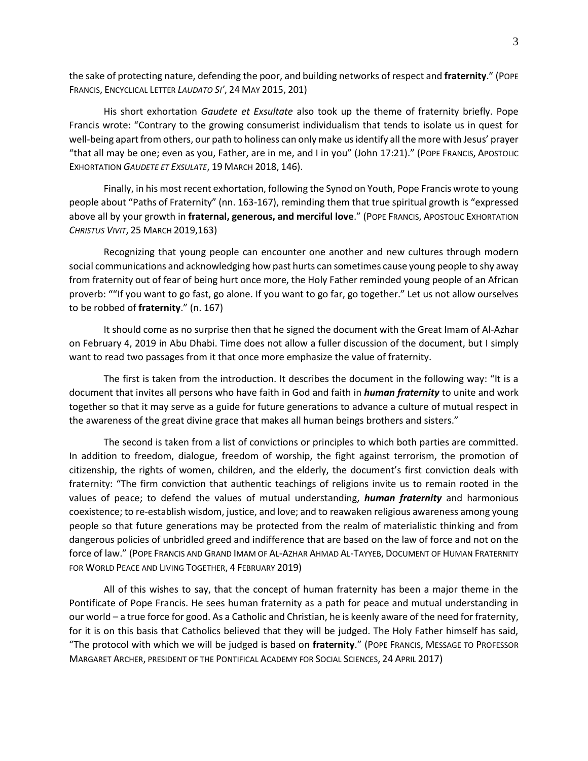the sake of protecting nature, defending the poor, and building networks of respect and **fraternity**." (POPE FRANCIS, ENCYCLICAL LETTER *LAUDATO SI'*, 24 MAY 2015, 201)

His short exhortation *Gaudete et Exsultate* also took up the theme of fraternity briefly. Pope Francis wrote: "Contrary to the growing consumerist individualism that tends to isolate us in quest for well-being apart from others, our path to holiness can only make us identify all the more with Jesus' prayer "that all may be one; even as you, Father, are in me, and I in you" (John 17:21)." (POPE FRANCIS, APOSTOLIC EXHORTATION *GAUDETE ET EXSULATE*, 19 MARCH 2018, 146).

Finally, in his most recent exhortation, following the Synod on Youth, Pope Francis wrote to young people about "Paths of Fraternity" (nn. 163-167), reminding them that true spiritual growth is "expressed above all by your growth in **fraternal, generous, and merciful love**." (POPE FRANCIS, APOSTOLIC EXHORTATION *CHRISTUS VIVIT*, 25 MARCH 2019,163)

Recognizing that young people can encounter one another and new cultures through modern social communications and acknowledging how past hurts can sometimes cause young people to shy away from fraternity out of fear of being hurt once more, the Holy Father reminded young people of an African proverb: ""If you want to go fast, go alone. If you want to go far, go together." Let us not allow ourselves to be robbed of **fraternity**." (n. 167)

It should come as no surprise then that he signed the document with the Great Imam of Al-Azhar on February 4, 2019 in Abu Dhabi. Time does not allow a fuller discussion of the document, but I simply want to read two passages from it that once more emphasize the value of fraternity.

The first is taken from the introduction. It describes the document in the following way: "It is a document that invites all persons who have faith in God and faith in *human fraternity* to unite and work together so that it may serve as a guide for future generations to advance a culture of mutual respect in the awareness of the great divine grace that makes all human beings brothers and sisters."

The second is taken from a list of convictions or principles to which both parties are committed. In addition to freedom, dialogue, freedom of worship, the fight against terrorism, the promotion of citizenship, the rights of women, children, and the elderly, the document's first conviction deals with fraternity: "The firm conviction that authentic teachings of religions invite us to remain rooted in the values of peace; to defend the values of mutual understanding, *human fraternity* and harmonious coexistence; to re-establish wisdom, justice, and love; and to reawaken religious awareness among young people so that future generations may be protected from the realm of materialistic thinking and from dangerous policies of unbridled greed and indifference that are based on the law of force and not on the force of law." (POPE FRANCIS AND GRAND IMAM OF AL-AZHAR AHMAD AL-TAYYEB, DOCUMENT OF HUMAN FRATERNITY FOR WORLD PEACE AND LIVING TOGETHER, 4 FEBRUARY 2019)

All of this wishes to say, that the concept of human fraternity has been a major theme in the Pontificate of Pope Francis. He sees human fraternity as a path for peace and mutual understanding in our world – a true force for good. As a Catholic and Christian, he is keenly aware of the need for fraternity, for it is on this basis that Catholics believed that they will be judged. The Holy Father himself has said, "The protocol with which we will be judged is based on **fraternity**." (POPE FRANCIS, MESSAGE TO PROFESSOR MARGARET ARCHER, PRESIDENT OF THE PONTIFICAL ACADEMY FOR SOCIAL SCIENCES, 24 APRIL 2017)